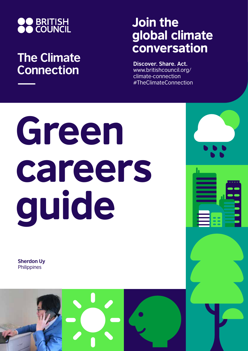

## **The Climate Connection**

## Join the global climate conversation

**Discover. Share. Act.** www.britishcouncil.org/ climate-connection #TheClimateConnection

# Green careers guide

**Sherdon Uy Philippines** 

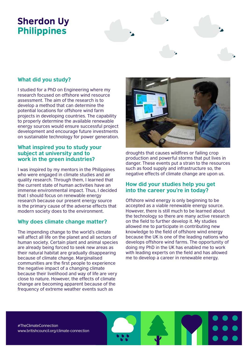## Sherdon Uy Philippines

### **What did you study?**

I studied for a PhD on Engineering where my research focused on offshore wind resource assessment. The aim of the research is to develop a method that can determine the potential locations for offshore wind farm projects in developing countries. The capability to properly determine the available renewable energy sources would ensure successful project development and encourage future investments on sustainable technology for power generation.

#### **What inspired you to study your subject at university and to work in the green industries?**

I was inspired by my mentors in the Philippines who were engaged in climate studies and air quality research. Through them, I learned that the current state of human activities have an immense environmental impact. Thus, I decided that I should focus on renewable energy research because our present energy source is the primary cause of the adverse effects that modern society does to the environment.

#### **Why does climate change matter?**

The impending change to the world's climate will affect all life on the planet and all sectors of human society. Certain plant and animal species are already being forced to seek new areas as their natural habitat are gradually disappearing because of climate change. Marginalised communities are the first people to experience the negative impact of a changing climate because their livelihood and way of life are very close to nature. However, the effects of climate change are becoming apparent because of the frequency of extreme weather events such as



droughts that causes wildfires or failing crop production and powerful storms that put lives in danger. These events put a strain to the resources such as food supply and infrastructure so, the negative effects of climate change are upon us.

#### **How did your studies help you get into the career you're in today?**

Offshore wind energy is only beginning to be accepted as a viable renewable energy source. However, there is still much to be learned about the technology so there are many active research on the field to further develop it. My studies allowed me to participate in contributing new knowledge to the field of offshore wind energy because the UK is one of the leading nations who develops offshore wind farms. The opportunity of doing my PhD in the UK has enabled me to work with leading experts on the field and has allowed me to develop a career in renewable energy.

#TheClimateConnection www.britishcouncil.org/climate-connection